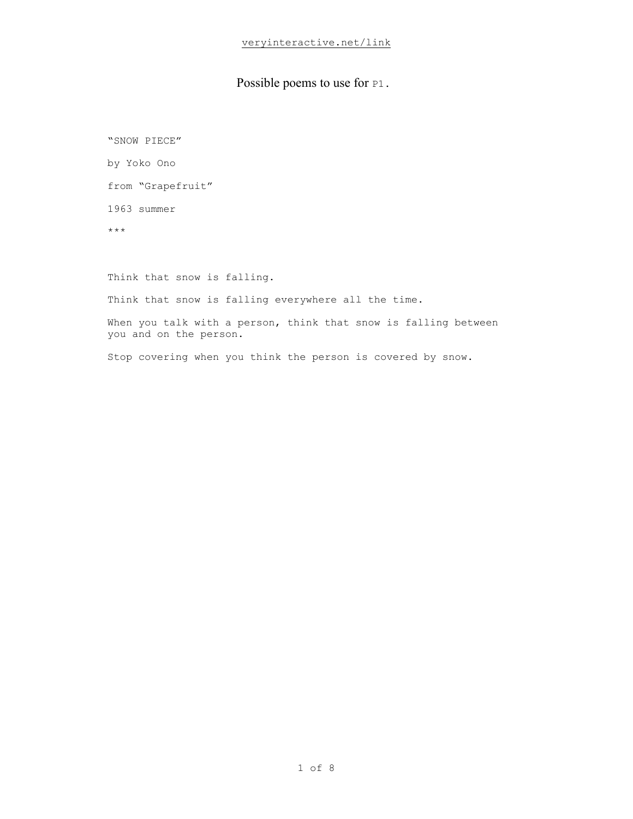#### Possible poems to use for  $P1$ .

"SNOW PIECE" by Yoko Ono from "Grapefruit" 1963 summer \*\*\* Think that snow is falling. Think that snow is falling everywhere all the time. When you talk with a person, think that snow is falling between you and on the person. Stop covering when you think the person is covered by snow.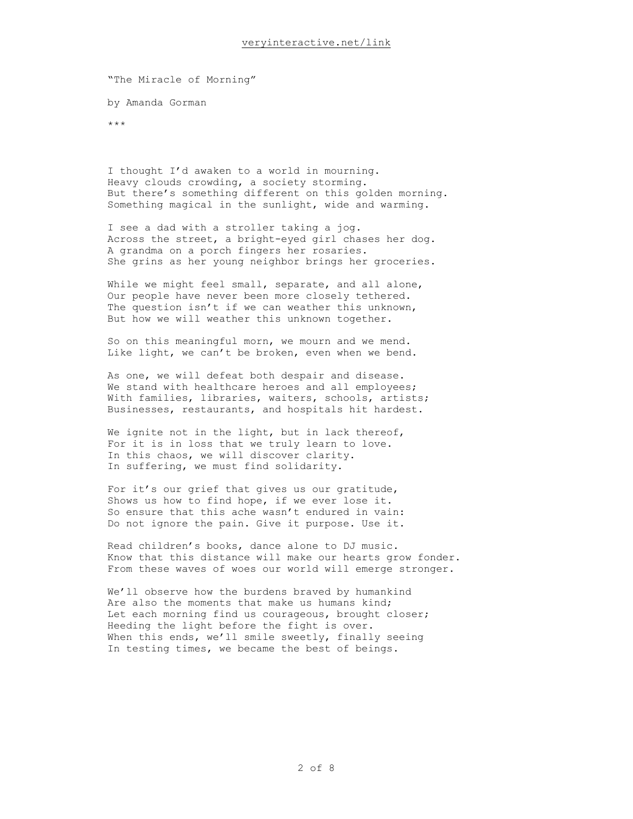"The Miracle of Morning" by Amanda Gorman

\*\*\*

I thought I'd awaken to a world in mourning. Heavy clouds crowding, a society storming. But there's something different on this golden morning. Something magical in the sunlight, wide and warming.

I see a dad with a stroller taking a jog. Across the street, a bright-eyed girl chases her dog. A grandma on a porch fingers her rosaries. She grins as her young neighbor brings her groceries.

While we might feel small, separate, and all alone, Our people have never been more closely tethered. The question isn't if we can weather this unknown, But how we will weather this unknown together.

So on this meaningful morn, we mourn and we mend. Like light, we can't be broken, even when we bend.

As one, we will defeat both despair and disease. We stand with healthcare heroes and all employees; With families, libraries, waiters, schools, artists; Businesses, restaurants, and hospitals hit hardest.

We ignite not in the light, but in lack thereof, For it is in loss that we truly learn to love. In this chaos, we will discover clarity. In suffering, we must find solidarity.

For it's our grief that gives us our gratitude, Shows us how to find hope, if we ever lose it. So ensure that this ache wasn't endured in vain: Do not ignore the pain. Give it purpose. Use it.

Read children's books, dance alone to DJ music. Know that this distance will make our hearts grow fonder. From these waves of woes our world will emerge stronger.

We'll observe how the burdens braved by humankind Are also the moments that make us humans kind; Let each morning find us courageous, brought closer; Heeding the light before the fight is over. When this ends, we'll smile sweetly, finally seeing In testing times, we became the best of beings.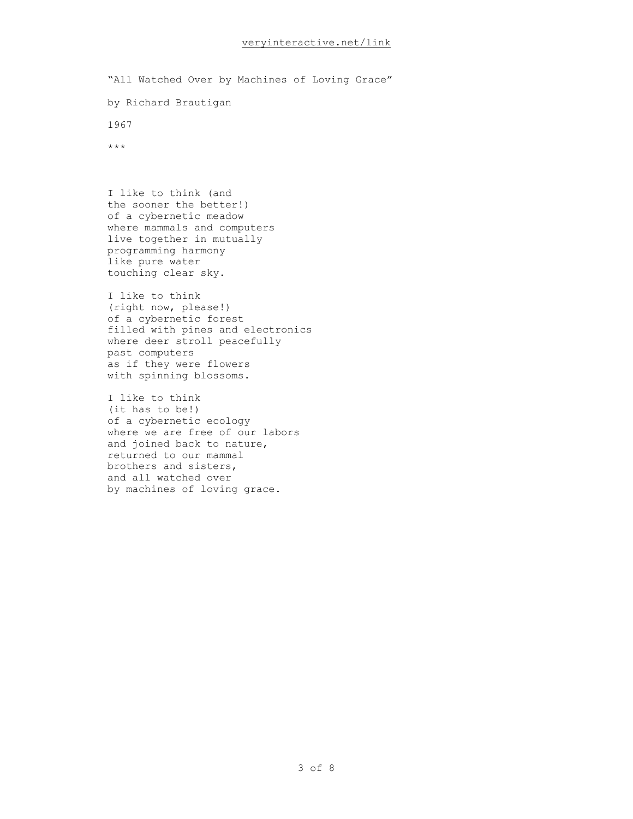"All Watched Over by Machines of Loving Grace" by Richard Brautigan 1967 \*\*\*

I like to think (and the sooner the better!) of a cybernetic meadow where mammals and computers live together in mutually programming harmony like pure water touching clear sky.

I like to think (right now, please!) of a cybernetic forest filled with pines and electronics where deer stroll peacefully past computers as if they were flowers with spinning blossoms.

I like to think (it has to be!) of a cybernetic ecology where we are free of our labors and joined back to nature, returned to our mammal brothers and sisters, and all watched over by machines of loving grace.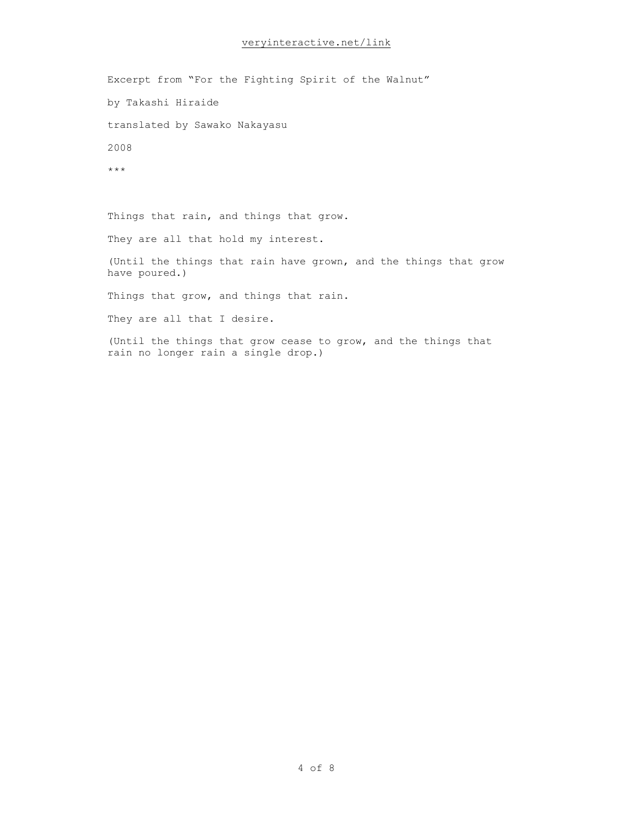Excerpt from "For the Fighting Spirit of the Walnut" by Takashi Hiraide translated by Sawako Nakayasu 2008 \*\*\*

Things that rain, and things that grow.

They are all that hold my interest.

(Until the things that rain have grown, and the things that grow have poured.)

Things that grow, and things that rain.

They are all that I desire.

(Until the things that grow cease to grow, and the things that rain no longer rain a single drop.)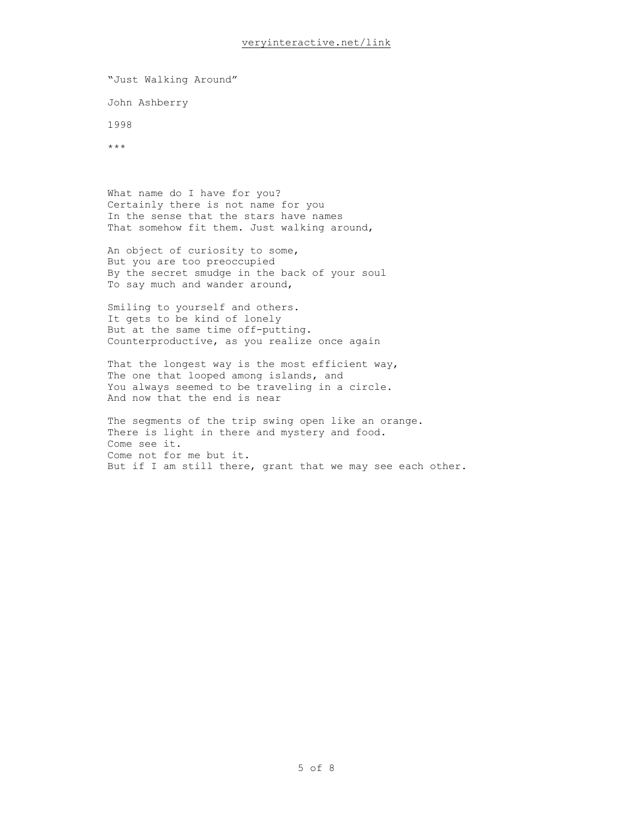"Just Walking Around"

John Ashberry

1998

\*\*\*

What name do I have for you? Certainly there is not name for you In the sense that the stars have names That somehow fit them. Just walking around,

An object of curiosity to some, But you are too preoccupied By the secret smudge in the back of your soul To say much and wander around,

Smiling to yourself and others. It gets to be kind of lonely But at the same time off-putting. Counterproductive, as you realize once again

That the longest way is the most efficient way, The one that looped among islands, and You always seemed to be traveling in a circle. And now that the end is near

The segments of the trip swing open like an orange. There is light in there and mystery and food. Come see it. Come not for me but it. But if I am still there, grant that we may see each other.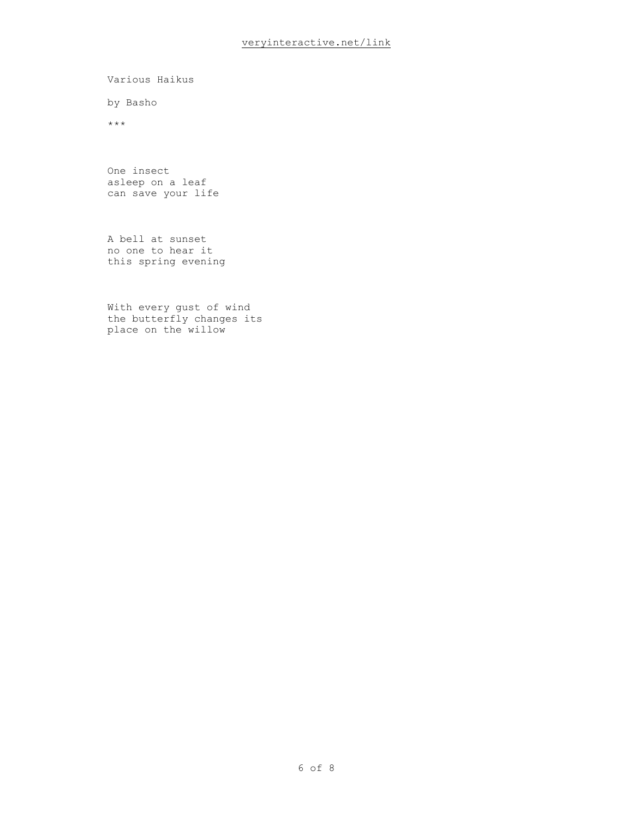Various Haikus

by Basho

\*\*\*

One insect asleep on a leaf can save your life

A bell at sunset no one to hear it this spring evening

With every gust of wind the butterfly changes its place on the willow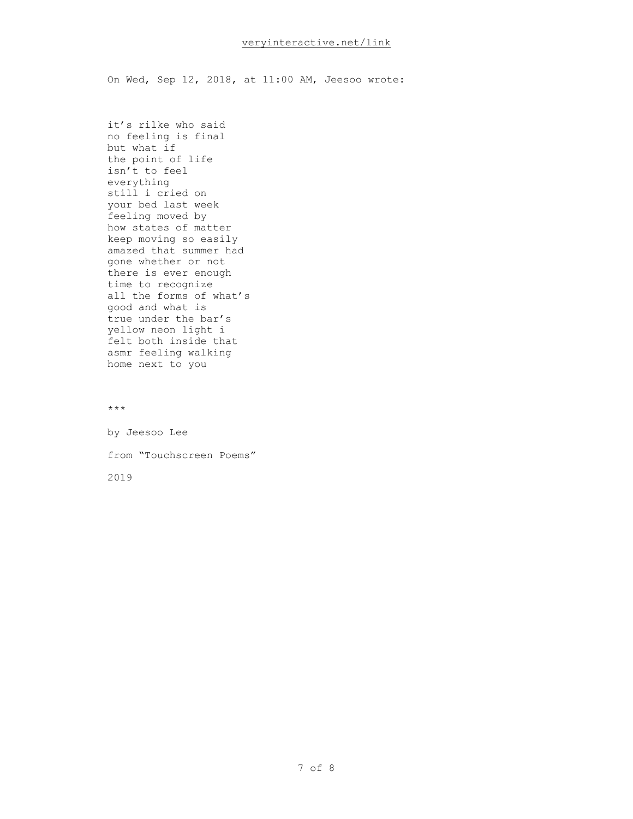On Wed, Sep 12, 2018, at 11:00 AM, Jeesoo wrote:

it's rilke who said no feeling is final but what if the point of life isn't to feel everything still i cried on your bed last week feeling moved by how states of matter keep moving so easily amazed that summer had gone whether or not there is ever enough time to recognize all the forms of what's good and what is true under the bar's yellow neon light i felt both inside that asmr feeling walking home next to you

\*\*\*

by Jeesoo Lee from "Touchscreen Poems" 2019